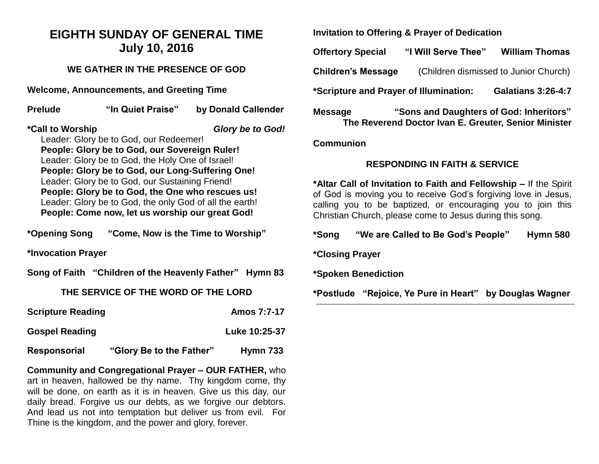## **EIGHTH SUNDAY OF GENERAL TIME July 10, 2016**

## **WE GATHER IN THE PRESENCE OF GOD**

**Welcome, Announcements, and Greeting Time** 

**Prelude "In Quiet Praise" by Donald Callender \*Call to Worship** *Glory be to God!*

Leader: Glory be to God, our Redeemer! **People: Glory be to God, our Sovereign Ruler!**  Leader: Glory be to God, the Holy One of Israel! **People: Glory be to God, our Long-Suffering One!**  Leader: Glory be to God, our Sustaining Friend! **People: Glory be to God, the One who rescues us!** Leader: Glory be to God, the only God of all the earth! **People: Come now, let us worship our great God!**

**\*Opening Song "Come, Now is the Time to Worship"** 

**\*Invocation Prayer** 

**Song of Faith "Children of the Heavenly Father" Hymn 83**

#### **THE SERVICE OF THE WORD OF THE LORD**

**Scripture Reading Amos 7:7-17** 

**Gospel Reading Cospel Reading Cospel Reading Cospel Reading Cospel Reading Cospel Reading Cospel Reading Cospel Reading Cospel Reading Cospel Reading Cospel Reading Cospel Reading Cospel Reading Cospel Reading Cospel Read** 

## **Responsorial "Glory Be to the Father" Hymn 733**

**Community and Congregational Prayer – OUR FATHER,** who art in heaven, hallowed be thy name. Thy kingdom come, thy will be done, on earth as it is in heaven. Give us this day, our daily bread. Forgive us our debts, as we forgive our debtors. And lead us not into temptation but deliver us from evil. For Thine is the kingdom, and the power and glory, forever.

**Invitation to Offering & Prayer of Dedication** 

**Offertory Special "I Will Serve Thee" William Thomas** 

**Children's Message** (Children dismissed to Junior Church)

**\*Scripture and Prayer of Illumination: Galatians 3:26-4:7**

**Message "Sons and Daughters of God: Inheritors" The Reverend Doctor Ivan E. Greuter, Senior Minister**

#### **Communion**

#### **RESPONDING IN FAITH & SERVICE**

**\*Altar Call of Invitation to Faith and Fellowship –** If the Spirit of God is moving you to receive God's forgiving love in Jesus, calling you to be baptized, or encouraging you to join this Christian Church, please come to Jesus during this song.

**\*Song "We are Called to Be God's People" Hymn 580**

**\*Closing Prayer**

**\*Spoken Benediction**

**\*Postlude "Rejoice, Ye Pure in Heart" by Douglas Wagner**